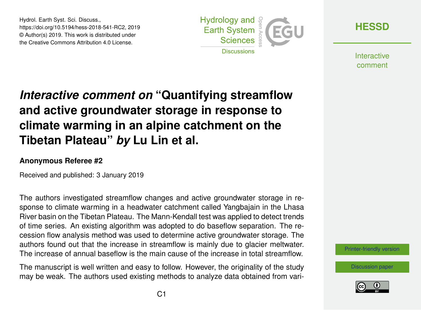Hydrol. Earth Syst. Sci. Discuss., https://doi.org/10.5194/hess-2018-541-RC2, 2019 © Author(s) 2019. This work is distributed under the Creative Commons Attribution 4.0 License.



**[HESSD](https://www.hydrol-earth-syst-sci-discuss.net/)**

**Interactive** comment

## *Interactive comment on* **"Quantifying streamflow and active groundwater storage in response to climate warming in an alpine catchment on the Tibetan Plateau"** *by* **Lu Lin et al.**

## **Anonymous Referee #2**

Received and published: 3 January 2019

The authors investigated streamflow changes and active groundwater storage in response to climate warming in a headwater catchment called Yangbajain in the Lhasa River basin on the Tibetan Plateau. The Mann-Kendall test was applied to detect trends of time series. An existing algorithm was adopted to do baseflow separation. The recession flow analysis method was used to determine active groundwater storage. The authors found out that the increase in streamflow is mainly due to glacier meltwater. The increase of annual baseflow is the main cause of the increase in total streamflow.

The manuscript is well written and easy to follow. However, the originality of the study may be weak. The authors used existing methods to analyze data obtained from vari[Printer-friendly version](https://www.hydrol-earth-syst-sci-discuss.net/hess-2018-541/hess-2018-541-RC2-print.pdf)

[Discussion paper](https://www.hydrol-earth-syst-sci-discuss.net/hess-2018-541)

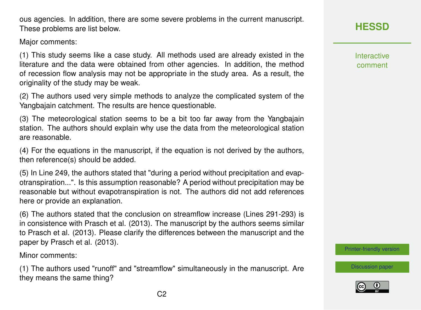ous agencies. In addition, there are some severe problems in the current manuscript. These problems are list below.

Major comments:

(1) This study seems like a case study. All methods used are already existed in the literature and the data were obtained from other agencies. In addition, the method of recession flow analysis may not be appropriate in the study area. As a result, the originality of the study may be weak.

(2) The authors used very simple methods to analyze the complicated system of the Yangbajain catchment. The results are hence questionable.

(3) The meteorological station seems to be a bit too far away from the Yangbajain station. The authors should explain why use the data from the meteorological station are reasonable.

(4) For the equations in the manuscript, if the equation is not derived by the authors, then reference(s) should be added.

(5) In Line 249, the authors stated that "during a period without precipitation and evapotranspiration...". Is this assumption reasonable? A period without precipitation may be reasonable but without evapotranspiration is not. The authors did not add references here or provide an explanation.

(6) The authors stated that the conclusion on streamflow increase (Lines 291-293) is in consistence with Prasch et al. (2013). The manuscript by the authors seems similar to Prasch et al. (2013). Please clarify the differences between the manuscript and the paper by Prasch et al. (2013).

Minor comments:

(1) The authors used "runoff" and "streamflow" simultaneously in the manuscript. Are they means the same thing?

Interactive comment

[Printer-friendly version](https://www.hydrol-earth-syst-sci-discuss.net/hess-2018-541/hess-2018-541-RC2-print.pdf)

[Discussion paper](https://www.hydrol-earth-syst-sci-discuss.net/hess-2018-541)